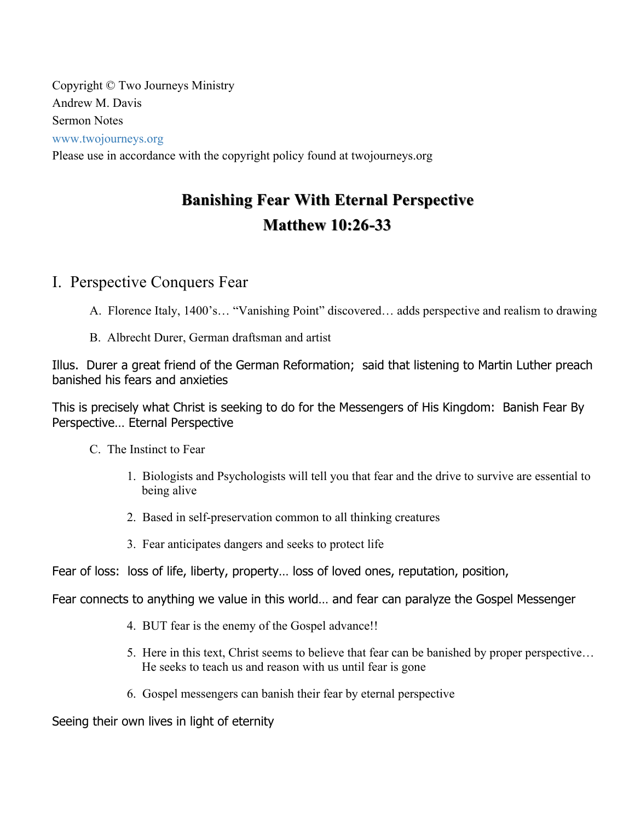Copyright © Two Journeys Ministry Andrew M. Davis Sermon Notes www.twojourneys.org

Please use in accordance with the copyright policy found at twojourneys.org

# **Banishing Fear With Eternal Perspective Banishing Fear With Eternal Perspective Matthew 10:26 Matthew 10:26-33**

# I. Perspective Conquers Fear

- A. Florence Italy, 1400's… "Vanishing Point" discovered… adds perspective and realism to drawing
- B. Albrecht Durer, German draftsman and artist

Illus. Durer a great friend of the German Reformation; said that listening to Martin Luther preach banished his fears and anxieties

This is precisely what Christ is seeking to do for the Messengers of His Kingdom: Banish Fear By Perspective… Eternal Perspective

- C. The Instinct to Fear
	- 1. Biologists and Psychologists will tell you that fear and the drive to survive are essential to being alive
	- 2. Based in self-preservation common to all thinking creatures
	- 3. Fear anticipates dangers and seeks to protect life

Fear of loss: loss of life, liberty, property… loss of loved ones, reputation, position,

Fear connects to anything we value in this world… and fear can paralyze the Gospel Messenger

- 4. BUT fear is the enemy of the Gospel advance!!
- 5. Here in this text, Christ seems to believe that fear can be banished by proper perspective… He seeks to teach us and reason with us until fear is gone
- 6. Gospel messengers can banish their fear by eternal perspective

Seeing their own lives in light of eternity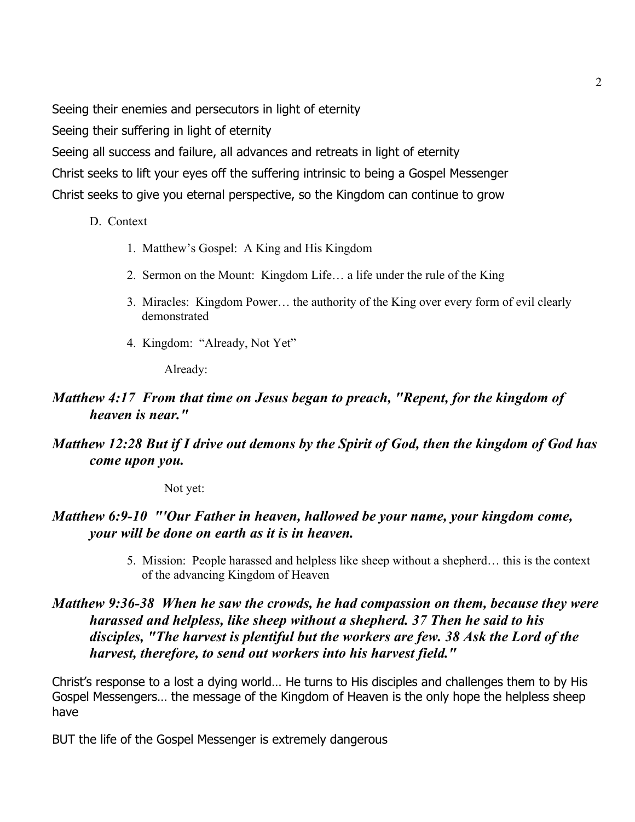Seeing their enemies and persecutors in light of eternity

Seeing their suffering in light of eternity

Seeing all success and failure, all advances and retreats in light of eternity

Christ seeks to lift your eyes off the suffering intrinsic to being a Gospel Messenger

Christ seeks to give you eternal perspective, so the Kingdom can continue to grow

- D. Context
	- 1. Matthew's Gospel: A King and His Kingdom
	- 2. Sermon on the Mount: Kingdom Life… a life under the rule of the King
	- 3. Miracles: Kingdom Power… the authority of the King over every form of evil clearly demonstrated
	- 4. Kingdom: "Already, Not Yet"

Already:

## *Matthew 4:17 From that time on Jesus began to preach, "Repent, for the kingdom of heaven is near."*

# *Matthew 12:28 But if I drive out demons by the Spirit of God, then the kingdom of God has come upon you.*

Not yet:

# *Matthew 6:9-10 "'Our Father in heaven, hallowed be your name, your kingdom come, your will be done on earth as it is in heaven.*

5. Mission: People harassed and helpless like sheep without a shepherd… this is the context of the advancing Kingdom of Heaven

## *Matthew 9:36-38 When he saw the crowds, he had compassion on them, because they were harassed and helpless, like sheep without a shepherd. 37 Then he said to his disciples, "The harvest is plentiful but the workers are few. 38 Ask the Lord of the harvest, therefore, to send out workers into his harvest field."*

Christ's response to a lost a dying world… He turns to His disciples and challenges them to by His Gospel Messengers… the message of the Kingdom of Heaven is the only hope the helpless sheep have

BUT the life of the Gospel Messenger is extremely dangerous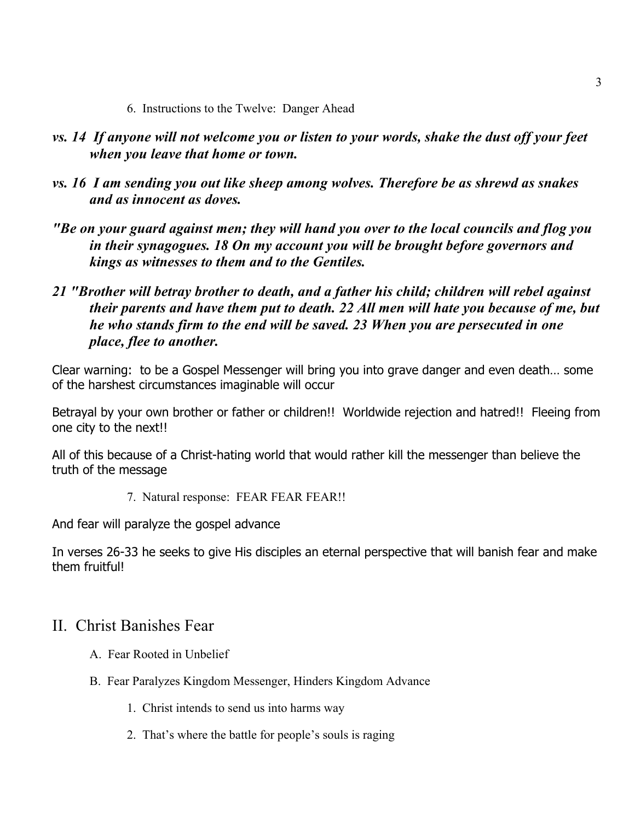- 6. Instructions to the Twelve: Danger Ahead
- *vs. 14 If anyone will not welcome you or listen to your words, shake the dust off your feet when you leave that home or town.*
- *vs. 16 I am sending you out like sheep among wolves. Therefore be as shrewd as snakes and as innocent as doves.*
- *"Be on your guard against men; they will hand you over to the local councils and flog you in their synagogues. 18 On my account you will be brought before governors and kings as witnesses to them and to the Gentiles.*
- *21 "Brother will betray brother to death, and a father his child; children will rebel against their parents and have them put to death. 22 All men will hate you because of me, but he who stands firm to the end will be saved. 23 When you are persecuted in one place, flee to another.*

Clear warning: to be a Gospel Messenger will bring you into grave danger and even death… some of the harshest circumstances imaginable will occur

Betrayal by your own brother or father or children!! Worldwide rejection and hatred!! Fleeing from one city to the next!!

All of this because of a Christ-hating world that would rather kill the messenger than believe the truth of the message

7. Natural response: FEAR FEAR FEAR!!

And fear will paralyze the gospel advance

In verses 26-33 he seeks to give His disciples an eternal perspective that will banish fear and make them fruitful!

# II. Christ Banishes Fear

- A. Fear Rooted in Unbelief
- B. Fear Paralyzes Kingdom Messenger, Hinders Kingdom Advance
	- 1. Christ intends to send us into harms way
	- 2. That's where the battle for people's souls is raging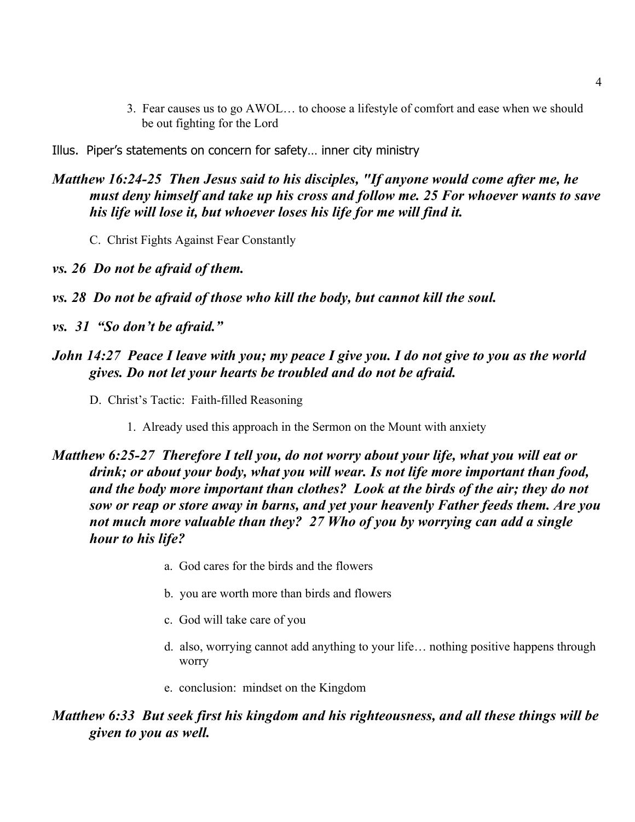- 3. Fear causes us to go AWOL… to choose a lifestyle of comfort and ease when we should be out fighting for the Lord
- Illus. Piper's statements on concern for safety… inner city ministry

## *Matthew 16:24-25 Then Jesus said to his disciples, "If anyone would come after me, he must deny himself and take up his cross and follow me. 25 For whoever wants to save his life will lose it, but whoever loses his life for me will find it.*

- C. Christ Fights Against Fear Constantly
- *vs. 26 Do not be afraid of them.*
- *vs. 28 Do not be afraid of those who kill the body, but cannot kill the soul.*
- *vs. 31 "So don't be afraid."*

## *John 14:27 Peace I leave with you; my peace I give you. I do not give to you as the world gives. Do not let your hearts be troubled and do not be afraid.*

- D. Christ's Tactic: Faith-filled Reasoning
	- 1. Already used this approach in the Sermon on the Mount with anxiety

# *Matthew 6:25-27 Therefore I tell you, do not worry about your life, what you will eat or drink; or about your body, what you will wear. Is not life more important than food, and the body more important than clothes? Look at the birds of the air; they do not sow or reap or store away in barns, and yet your heavenly Father feeds them. Are you not much more valuable than they? 27 Who of you by worrying can add a single hour to his life?*

- a. God cares for the birds and the flowers
- b. you are worth more than birds and flowers
- c. God will take care of you
- d. also, worrying cannot add anything to your life… nothing positive happens through worry
- e. conclusion: mindset on the Kingdom

## *Matthew 6:33 But seek first his kingdom and his righteousness, and all these things will be given to you as well.*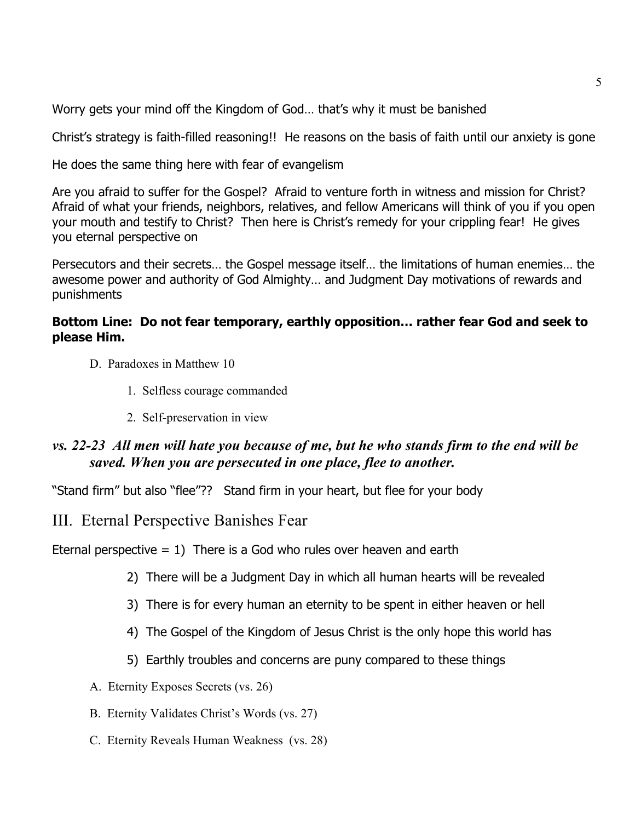Worry gets your mind off the Kingdom of God… that's why it must be banished

Christ's strategy is faith-filled reasoning!! He reasons on the basis of faith until our anxiety is gone

He does the same thing here with fear of evangelism

Are you afraid to suffer for the Gospel? Afraid to venture forth in witness and mission for Christ? Afraid of what your friends, neighbors, relatives, and fellow Americans will think of you if you open your mouth and testify to Christ? Then here is Christ's remedy for your crippling fear! He gives you eternal perspective on

Persecutors and their secrets… the Gospel message itself… the limitations of human enemies… the awesome power and authority of God Almighty… and Judgment Day motivations of rewards and punishments

## **Bottom Line: Do not fear temporary, earthly opposition… rather fear God and seek to please Him.**

- D. Paradoxes in Matthew 10
	- 1. Selfless courage commanded
	- 2. Self-preservation in view

## *vs. 22-23 All men will hate you because of me, but he who stands firm to the end will be saved. When you are persecuted in one place, flee to another.*

"Stand firm" but also "flee"?? Stand firm in your heart, but flee for your body

## III. Eternal Perspective Banishes Fear

Eternal perspective  $= 1$ ) There is a God who rules over heaven and earth

- 2) There will be a Judgment Day in which all human hearts will be revealed
- 3) There is for every human an eternity to be spent in either heaven or hell
- 4) The Gospel of the Kingdom of Jesus Christ is the only hope this world has
- 5) Earthly troubles and concerns are puny compared to these things
- A. Eternity Exposes Secrets (vs. 26)
- B. Eternity Validates Christ's Words (vs. 27)
- C. Eternity Reveals Human Weakness (vs. 28)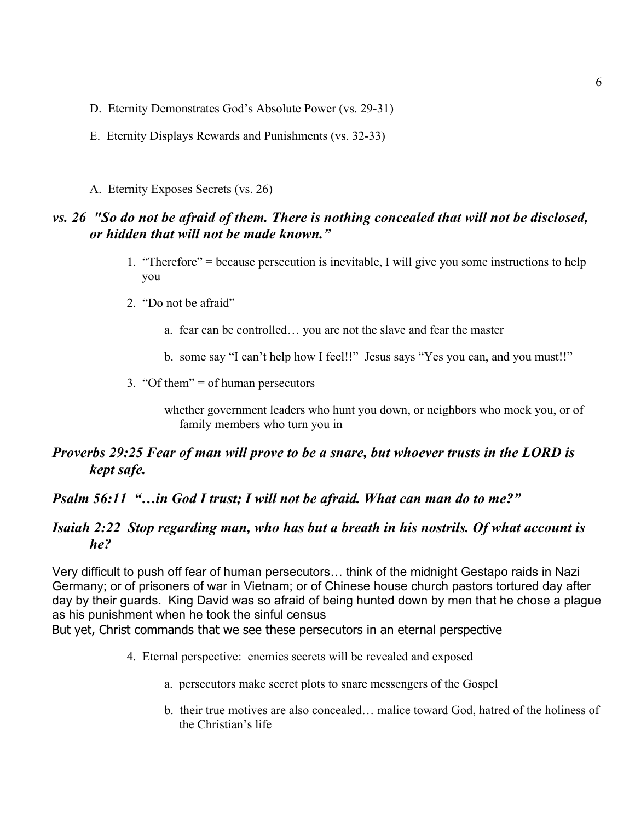- D. Eternity Demonstrates God's Absolute Power (vs. 29-31)
- E. Eternity Displays Rewards and Punishments (vs. 32-33)
- A. Eternity Exposes Secrets (vs. 26)

## *vs. 26 "So do not be afraid of them. There is nothing concealed that will not be disclosed, or hidden that will not be made known."*

- 1. "Therefore" = because persecution is inevitable, I will give you some instructions to help you
- 2. "Do not be afraid"
	- a. fear can be controlled… you are not the slave and fear the master
	- b. some say "I can't help how I feel!!" Jesus says "Yes you can, and you must!!"
- 3. "Of them"  $=$  of human persecutors

whether government leaders who hunt you down, or neighbors who mock you, or of family members who turn you in

## *Proverbs 29:25 Fear of man will prove to be a snare, but whoever trusts in the LORD is kept safe.*

#### *Psalm 56:11 "…in God I trust; I will not be afraid. What can man do to me?"*

#### *Isaiah 2:22 Stop regarding man, who has but a breath in his nostrils. Of what account is he?*

Very difficult to push off fear of human persecutors… think of the midnight Gestapo raids in Nazi Germany; or of prisoners of war in Vietnam; or of Chinese house church pastors tortured day after day by their guards. King David was so afraid of being hunted down by men that he chose a plague as his punishment when he took the sinful census

But yet, Christ commands that we see these persecutors in an eternal perspective

- 4. Eternal perspective: enemies secrets will be revealed and exposed
	- a. persecutors make secret plots to snare messengers of the Gospel
	- b. their true motives are also concealed… malice toward God, hatred of the holiness of the Christian's life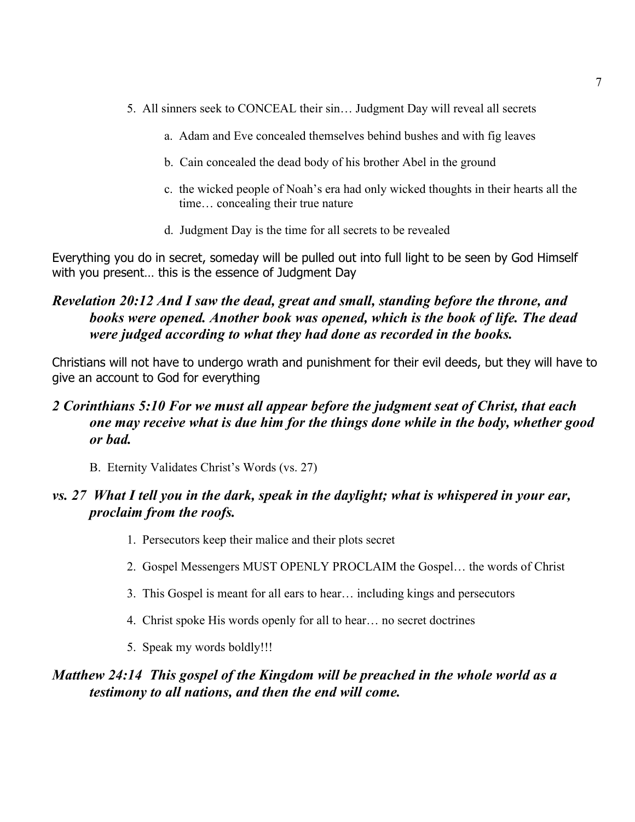- 5. All sinners seek to CONCEAL their sin… Judgment Day will reveal all secrets
	- a. Adam and Eve concealed themselves behind bushes and with fig leaves
	- b. Cain concealed the dead body of his brother Abel in the ground
	- c. the wicked people of Noah's era had only wicked thoughts in their hearts all the time… concealing their true nature
	- d. Judgment Day is the time for all secrets to be revealed

Everything you do in secret, someday will be pulled out into full light to be seen by God Himself with you present… this is the essence of Judgment Day

# *Revelation 20:12 And I saw the dead, great and small, standing before the throne, and books were opened. Another book was opened, which is the book of life. The dead were judged according to what they had done as recorded in the books.*

Christians will not have to undergo wrath and punishment for their evil deeds, but they will have to give an account to God for everything

## *2 Corinthians 5:10 For we must all appear before the judgment seat of Christ, that each one may receive what is due him for the things done while in the body, whether good or bad.*

B. Eternity Validates Christ's Words (vs. 27)

## *vs. 27 What I tell you in the dark, speak in the daylight; what is whispered in your ear, proclaim from the roofs.*

- 1. Persecutors keep their malice and their plots secret
- 2. Gospel Messengers MUST OPENLY PROCLAIM the Gospel… the words of Christ
- 3. This Gospel is meant for all ears to hear… including kings and persecutors
- 4. Christ spoke His words openly for all to hear… no secret doctrines
- 5. Speak my words boldly!!!

## *Matthew 24:14 This gospel of the Kingdom will be preached in the whole world as a testimony to all nations, and then the end will come.*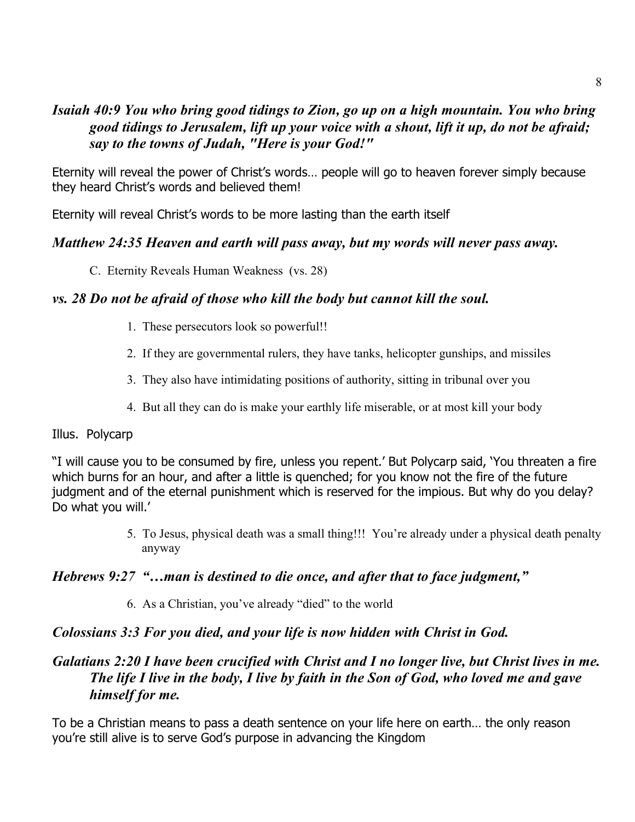# *Isaiah 40:9 You who bring good tidings to Zion, go up on a high mountain. You who bring good tidings to Jerusalem, lift up your voice with a shout, lift it up, do not be afraid; say to the towns of Judah, "Here is your God!"*

Eternity will reveal the power of Christ's words… people will go to heaven forever simply because they heard Christ's words and believed them!

Eternity will reveal Christ's words to be more lasting than the earth itself

## *Matthew 24:35 Heaven and earth will pass away, but my words will never pass away.*

C. Eternity Reveals Human Weakness (vs. 28)

## *vs. 28 Do not be afraid of those who kill the body but cannot kill the soul.*

- 1. These persecutors look so powerful!!
- 2. If they are governmental rulers, they have tanks, helicopter gunships, and missiles
- 3. They also have intimidating positions of authority, sitting in tribunal over you
- 4. But all they can do is make your earthly life miserable, or at most kill your body

## Illus. Polycarp

"I will cause you to be consumed by fire, unless you repent.' But Polycarp said, 'You threaten a fire which burns for an hour, and after a little is quenched; for you know not the fire of the future judgment and of the eternal punishment which is reserved for the impious. But why do you delay? Do what you will.'

> 5. To Jesus, physical death was a small thing!!! You're already under a physical death penalty anyway

# *Hebrews 9:27 "…man is destined to die once, and after that to face judgment,"*

6. As a Christian, you've already "died" to the world

# *Colossians 3:3 For you died, and your life is now hidden with Christ in God.*

# *Galatians 2:20 I have been crucified with Christ and I no longer live, but Christ lives in me. The life I live in the body, I live by faith in the Son of God, who loved me and gave himself for me.*

To be a Christian means to pass a death sentence on your life here on earth… the only reason you're still alive is to serve God's purpose in advancing the Kingdom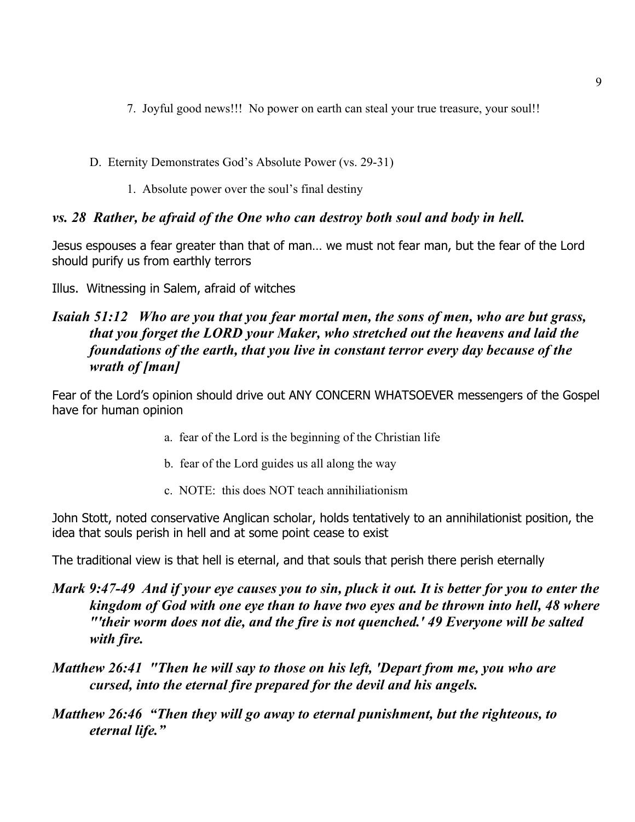- 7. Joyful good news!!! No power on earth can steal your true treasure, your soul!!
- D. Eternity Demonstrates God's Absolute Power (vs. 29-31)
	- 1. Absolute power over the soul's final destiny

## *vs. 28 Rather, be afraid of the One who can destroy both soul and body in hell.*

Jesus espouses a fear greater than that of man… we must not fear man, but the fear of the Lord should purify us from earthly terrors

Illus. Witnessing in Salem, afraid of witches

## *Isaiah 51:12 Who are you that you fear mortal men, the sons of men, who are but grass, that you forget the LORD your Maker, who stretched out the heavens and laid the foundations of the earth, that you live in constant terror every day because of the wrath of [man]*

Fear of the Lord's opinion should drive out ANY CONCERN WHATSOEVER messengers of the Gospel have for human opinion

- a. fear of the Lord is the beginning of the Christian life
- b. fear of the Lord guides us all along the way
- c. NOTE: this does NOT teach annihiliationism

John Stott, noted conservative Anglican scholar, holds tentatively to an annihilationist position, the idea that souls perish in hell and at some point cease to exist

The traditional view is that hell is eternal, and that souls that perish there perish eternally

# *Mark 9:47-49 And if your eye causes you to sin, pluck it out. It is better for you to enter the kingdom of God with one eye than to have two eyes and be thrown into hell, 48 where "'their worm does not die, and the fire is not quenched.' 49 Everyone will be salted with fire.*

*Matthew 26:41 "Then he will say to those on his left, 'Depart from me, you who are cursed, into the eternal fire prepared for the devil and his angels.*

*Matthew 26:46 "Then they will go away to eternal punishment, but the righteous, to eternal life."*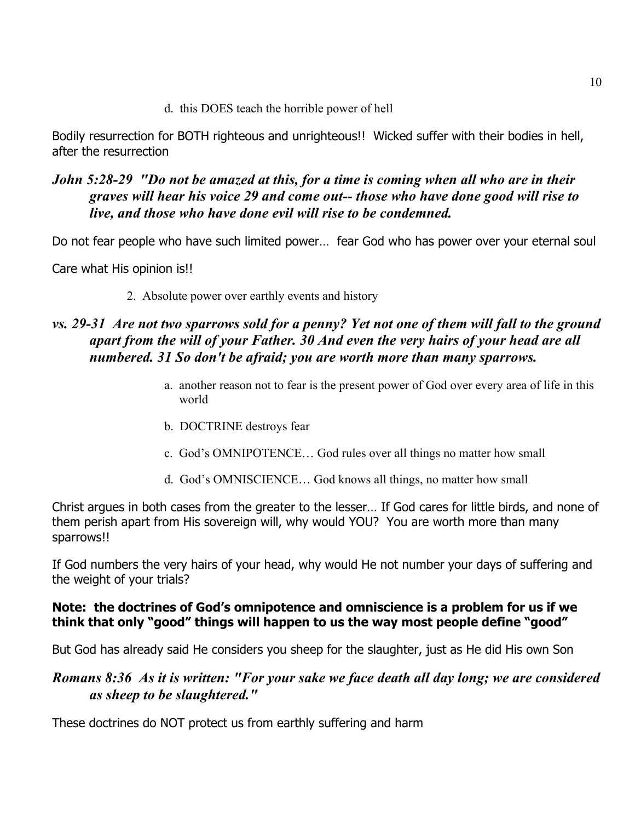d. this DOES teach the horrible power of hell

Bodily resurrection for BOTH righteous and unrighteous!! Wicked suffer with their bodies in hell, after the resurrection

## *John 5:28-29 "Do not be amazed at this, for a time is coming when all who are in their graves will hear his voice 29 and come out-- those who have done good will rise to live, and those who have done evil will rise to be condemned.*

Do not fear people who have such limited power… fear God who has power over your eternal soul

Care what His opinion is!!

2. Absolute power over earthly events and history

## *vs. 29-31 Are not two sparrows sold for a penny? Yet not one of them will fall to the ground apart from the will of your Father. 30 And even the very hairs of your head are all numbered. 31 So don't be afraid; you are worth more than many sparrows.*

- a. another reason not to fear is the present power of God over every area of life in this world
- b. DOCTRINE destroys fear
- c. God's OMNIPOTENCE… God rules over all things no matter how small
- d. God's OMNISCIENCE… God knows all things, no matter how small

Christ argues in both cases from the greater to the lesser… If God cares for little birds, and none of them perish apart from His sovereign will, why would YOU? You are worth more than many sparrows!!

If God numbers the very hairs of your head, why would He not number your days of suffering and the weight of your trials?

## **Note: the doctrines of God's omnipotence and omniscience is a problem for us if we think that only "good" things will happen to us the way most people define "good"**

But God has already said He considers you sheep for the slaughter, just as He did His own Son

## *Romans 8:36 As it is written: "For your sake we face death all day long; we are considered as sheep to be slaughtered."*

These doctrines do NOT protect us from earthly suffering and harm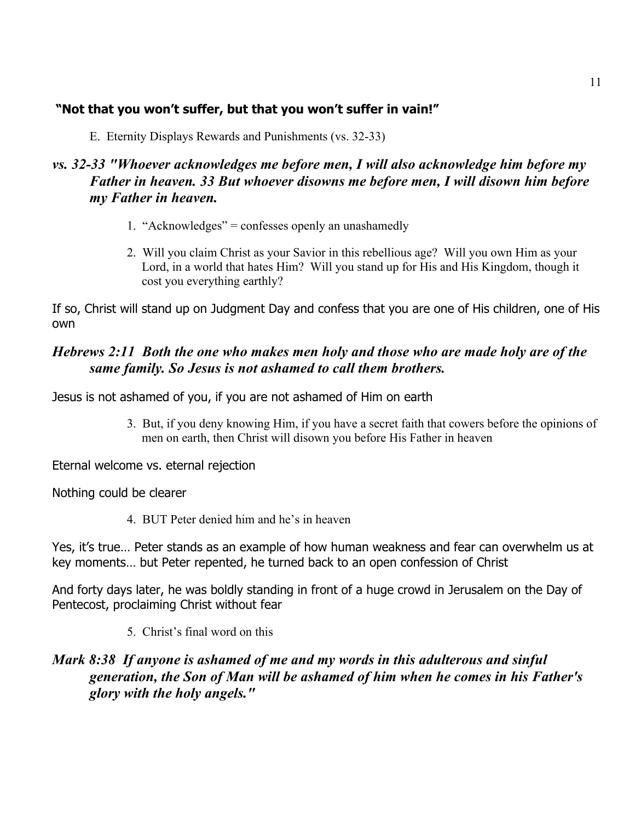## **"Not that you won't suffer, but that you won't suffer in vain!"**

E. Eternity Displays Rewards and Punishments (vs. 32-33)

## *vs. 32-33 "Whoever acknowledges me before men, I will also acknowledge him before my Father in heaven. 33 But whoever disowns me before men, I will disown him before my Father in heaven.*

- 1. "Acknowledges" = confesses openly an unashamedly
- 2. Will you claim Christ as your Savior in this rebellious age? Will you own Him as your Lord, in a world that hates Him? Will you stand up for His and His Kingdom, though it cost you everything earthly?

If so, Christ will stand up on Judgment Day and confess that you are one of His children, one of His own

# *Hebrews 2:11 Both the one who makes men holy and those who are made holy are of the same family. So Jesus is not ashamed to call them brothers.*

Jesus is not ashamed of you, if you are not ashamed of Him on earth

3. But, if you deny knowing Him, if you have a secret faith that cowers before the opinions of men on earth, then Christ will disown you before His Father in heaven

Eternal welcome vs. eternal rejection

Nothing could be clearer

4. BUT Peter denied him and he's in heaven

Yes, it's true… Peter stands as an example of how human weakness and fear can overwhelm us at key moments… but Peter repented, he turned back to an open confession of Christ

And forty days later, he was boldly standing in front of a huge crowd in Jerusalem on the Day of Pentecost, proclaiming Christ without fear

5. Christ's final word on this

## *Mark 8:38 If anyone is ashamed of me and my words in this adulterous and sinful generation, the Son of Man will be ashamed of him when he comes in his Father's glory with the holy angels."*